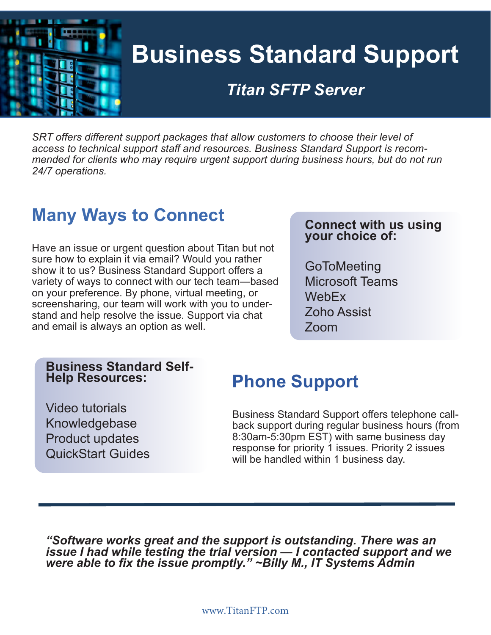

# **Business Standard Support**

## *Titan SFTP Server*

*SRT offers different support packages that allow customers to choose their level of access to technical support staff and resources. Business Standard Support is recommended for clients who may require urgent support during business hours, but do not run 24/7 operations.* 

### **Titan Francisco Serveron Figures Many Ways to Connect**

Have an issue or urgent question about Titan but not sure how to explain it via email? Would you rather show it to us? Business Standard Support offers a variety of ways to connect with our tech team—based on your preference. By phone, virtual meeting, or screensharing, our team will work with you to understand and help resolve the issue. Support via chat and email is always an option as well.

#### **Connect with us using your choice of:**

**GoToMeeting** Microsoft Teams **WebFx** Zoho Assist Zoom

#### **Business Standard Self-Help Resources:**

# **Phone Support**

Video tutorials Knowledgebase Product updates QuickStart Guides

Business Standard Support offers telephone callback support during regular business hours (from 8:30am-5:30pm EST) with same business day response for priority 1 issues. Priority 2 issues will be handled within 1 business day.

*"Software works great and the support is outstanding. There was an issue I had while testing the trial version — I contacted support and we were able to fix the issue promptly." ~Billy M., IT Systems Admin*